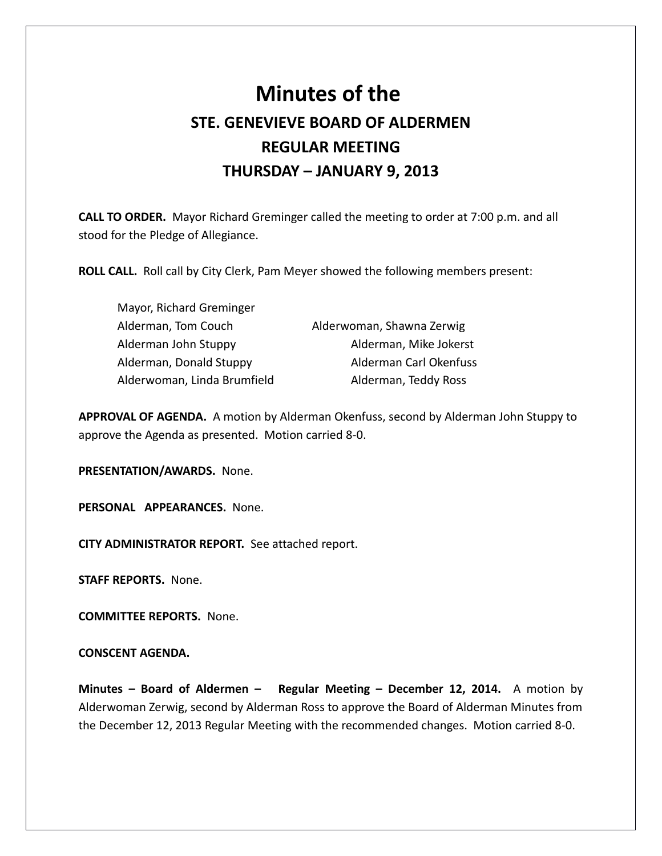## **Minutes of the STE. GENEVIEVE BOARD OF ALDERMEN REGULAR MEETING THURSDAY – JANUARY 9, 2013**

**CALL TO ORDER.** Mayor Richard Greminger called the meeting to order at 7:00 p.m. and all stood for the Pledge of Allegiance.

**ROLL CALL.** Roll call by City Clerk, Pam Meyer showed the following members present:

Mayor, Richard Greminger Alderman, Tom Couch Alderwoman, Shawna Zerwig Alderman John Stuppy **Alderman, Mike Jokerst** Alderwoman, Linda Brumfield Alderman, Teddy Ross

Alderman, Donald Stuppy Alderman Carl Okenfuss

**APPROVAL OF AGENDA.** A motion by Alderman Okenfuss, second by Alderman John Stuppy to approve the Agenda as presented. Motion carried 8-0.

**PRESENTATION/AWARDS.** None.

**PERSONAL APPEARANCES.** None.

**CITY ADMINISTRATOR REPORT.** See attached report.

**STAFF REPORTS.** None.

**COMMITTEE REPORTS.** None.

## **CONSCENT AGENDA.**

**Minutes – Board of Aldermen – Regular Meeting – December 12, 2014.** A motion by Alderwoman Zerwig, second by Alderman Ross to approve the Board of Alderman Minutes from the December 12, 2013 Regular Meeting with the recommended changes. Motion carried 8-0.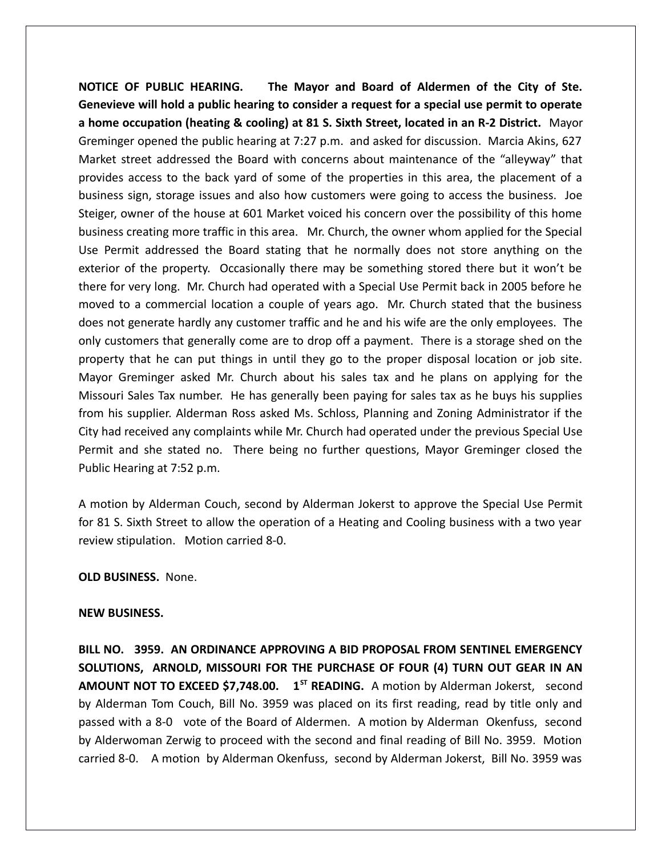**NOTICE OF PUBLIC HEARING. The Mayor and Board of Aldermen of the City of Ste. Genevieve will hold a public hearing to consider a request for a special use permit to operate a home occupation (heating & cooling) at 81 S. Sixth Street, located in an R-2 District.** Mayor Greminger opened the public hearing at 7:27 p.m. and asked for discussion. Marcia Akins, 627 Market street addressed the Board with concerns about maintenance of the "alleyway" that provides access to the back yard of some of the properties in this area, the placement of a business sign, storage issues and also how customers were going to access the business. Joe Steiger, owner of the house at 601 Market voiced his concern over the possibility of this home business creating more traffic in this area. Mr. Church, the owner whom applied for the Special Use Permit addressed the Board stating that he normally does not store anything on the exterior of the property. Occasionally there may be something stored there but it won't be there for very long. Mr. Church had operated with a Special Use Permit back in 2005 before he moved to a commercial location a couple of years ago. Mr. Church stated that the business does not generate hardly any customer traffic and he and his wife are the only employees. The only customers that generally come are to drop off a payment. There is a storage shed on the property that he can put things in until they go to the proper disposal location or job site. Mayor Greminger asked Mr. Church about his sales tax and he plans on applying for the Missouri Sales Tax number. He has generally been paying for sales tax as he buys his supplies from his supplier. Alderman Ross asked Ms. Schloss, Planning and Zoning Administrator if the City had received any complaints while Mr. Church had operated under the previous Special Use Permit and she stated no. There being no further questions, Mayor Greminger closed the Public Hearing at 7:52 p.m.

A motion by Alderman Couch, second by Alderman Jokerst to approve the Special Use Permit for 81 S. Sixth Street to allow the operation of a Heating and Cooling business with a two year review stipulation. Motion carried 8-0.

**OLD BUSINESS.** None.

## **NEW BUSINESS.**

**BILL NO. 3959. AN ORDINANCE APPROVING A BID PROPOSAL FROM SENTINEL EMERGENCY SOLUTIONS, ARNOLD, MISSOURI FOR THE PURCHASE OF FOUR (4) TURN OUT GEAR IN AN AMOUNT NOT TO EXCEED \$7,748.00.** 1<sup>st</sup> READING. A motion by Alderman Jokerst, second by Alderman Tom Couch, Bill No. 3959 was placed on its first reading, read by title only and passed with a 8-0 vote of the Board of Aldermen. A motion by Alderman Okenfuss, second by Alderwoman Zerwig to proceed with the second and final reading of Bill No. 3959. Motion carried 8-0. A motion by Alderman Okenfuss, second by Alderman Jokerst, Bill No. 3959 was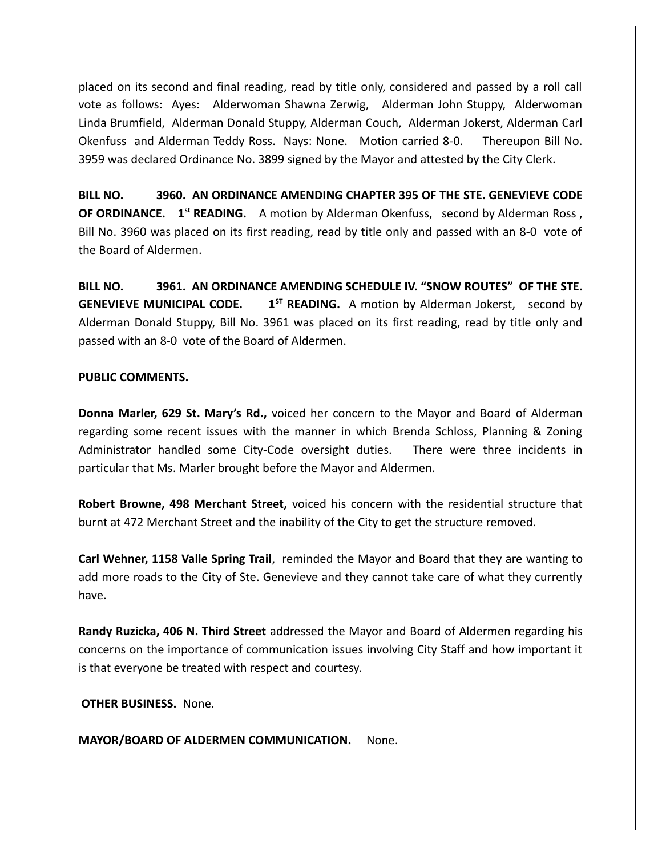placed on its second and final reading, read by title only, considered and passed by a roll call vote as follows: Ayes: Alderwoman Shawna Zerwig, Alderman John Stuppy, Alderwoman Linda Brumfield, Alderman Donald Stuppy, Alderman Couch, Alderman Jokerst, Alderman Carl Okenfuss and Alderman Teddy Ross. Nays: None. Motion carried 8-0. Thereupon Bill No. 3959 was declared Ordinance No. 3899 signed by the Mayor and attested by the City Clerk.

**BILL NO. 3960. AN ORDINANCE AMENDING CHAPTER 395 OF THE STE. GENEVIEVE CODE OF ORDINANCE. 1st READING.** A motion by Alderman Okenfuss, second by Alderman Ross , Bill No. 3960 was placed on its first reading, read by title only and passed with an 8-0 vote of the Board of Aldermen.

**BILL NO. 3961. AN ORDINANCE AMENDING SCHEDULE IV. "SNOW ROUTES" OF THE STE. GENEVIEVE MUNICIPAL CODE.** 1<sup>5</sup> READING. A motion by Alderman Jokerst, second by Alderman Donald Stuppy, Bill No. 3961 was placed on its first reading, read by title only and passed with an 8-0 vote of the Board of Aldermen.

## **PUBLIC COMMENTS.**

**Donna Marler, 629 St. Mary's Rd.,** voiced her concern to the Mayor and Board of Alderman regarding some recent issues with the manner in which Brenda Schloss, Planning & Zoning Administrator handled some City-Code oversight duties. There were three incidents in particular that Ms. Marler brought before the Mayor and Aldermen.

**Robert Browne, 498 Merchant Street,** voiced his concern with the residential structure that burnt at 472 Merchant Street and the inability of the City to get the structure removed.

**Carl Wehner, 1158 Valle Spring Trail**, reminded the Mayor and Board that they are wanting to add more roads to the City of Ste. Genevieve and they cannot take care of what they currently have.

**Randy Ruzicka, 406 N. Third Street** addressed the Mayor and Board of Aldermen regarding his concerns on the importance of communication issues involving City Staff and how important it is that everyone be treated with respect and courtesy.

 **OTHER BUSINESS.** None.

**MAYOR/BOARD OF ALDERMEN COMMUNICATION.** None.